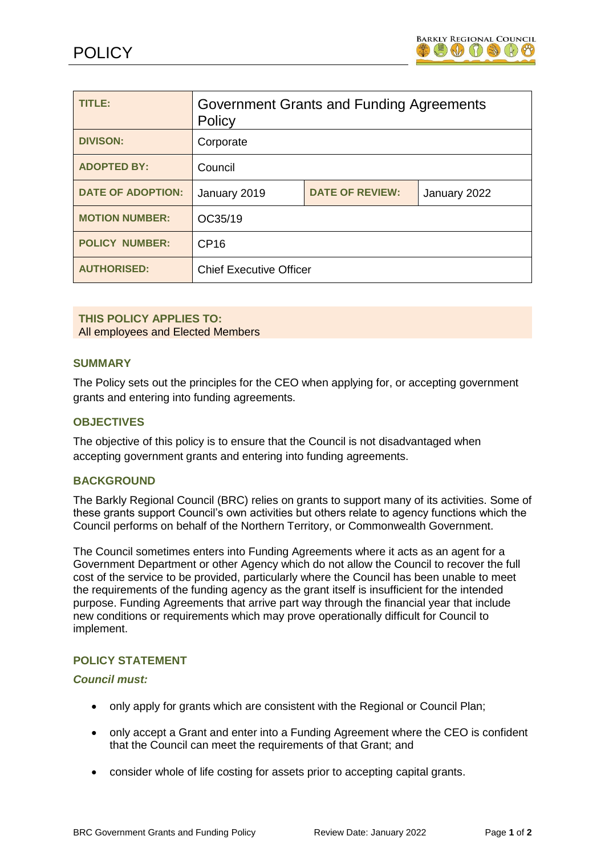

| <b>TITLE:</b>            | Government Grants and Funding Agreements<br>Policy |                        |              |
|--------------------------|----------------------------------------------------|------------------------|--------------|
| <b>DIVISON:</b>          | Corporate                                          |                        |              |
| <b>ADOPTED BY:</b>       | Council                                            |                        |              |
| <b>DATE OF ADOPTION:</b> | January 2019                                       | <b>DATE OF REVIEW:</b> | January 2022 |
| <b>MOTION NUMBER:</b>    | OC35/19                                            |                        |              |
| <b>POLICY NUMBER:</b>    | CP16                                               |                        |              |
| <b>AUTHORISED:</b>       | <b>Chief Executive Officer</b>                     |                        |              |

#### **THIS POLICY APPLIES TO:** All employees and Elected Members

### **SUMMARY**

The Policy sets out the principles for the CEO when applying for, or accepting government grants and entering into funding agreements.

# **OBJECTIVES**

The objective of this policy is to ensure that the Council is not disadvantaged when accepting government grants and entering into funding agreements.

#### **BACKGROUND**

The Barkly Regional Council (BRC) relies on grants to support many of its activities. Some of these grants support Council's own activities but others relate to agency functions which the Council performs on behalf of the Northern Territory, or Commonwealth Government.

The Council sometimes enters into Funding Agreements where it acts as an agent for a Government Department or other Agency which do not allow the Council to recover the full cost of the service to be provided, particularly where the Council has been unable to meet the requirements of the funding agency as the grant itself is insufficient for the intended purpose. Funding Agreements that arrive part way through the financial year that include new conditions or requirements which may prove operationally difficult for Council to implement.

#### **POLICY STATEMENT**

#### *Council must:*

- only apply for grants which are consistent with the Regional or Council Plan;
- only accept a Grant and enter into a Funding Agreement where the CEO is confident that the Council can meet the requirements of that Grant; and
- consider whole of life costing for assets prior to accepting capital grants.